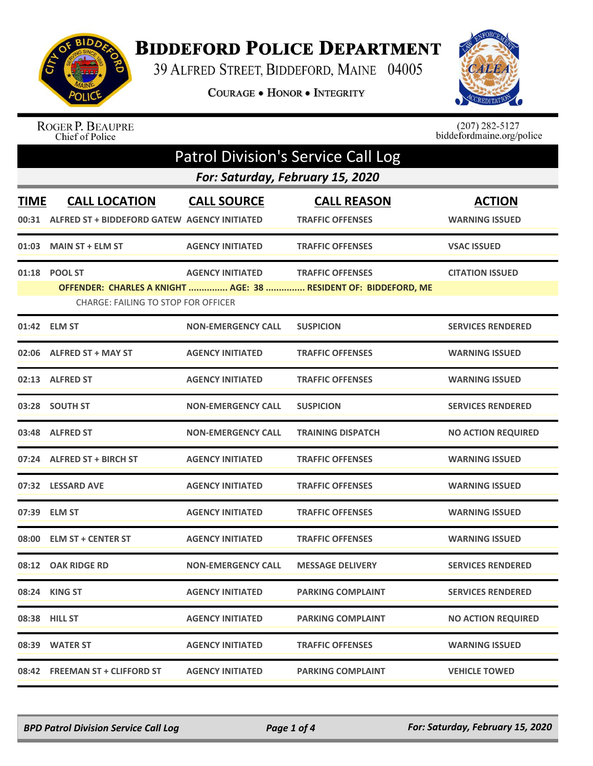

## **BIDDEFORD POLICE DEPARTMENT**

39 ALFRED STREET, BIDDEFORD, MAINE 04005

COURAGE . HONOR . INTEGRITY



ROGER P. BEAUPRE<br>Chief of Police

 $(207)$  282-5127<br>biddefordmaine.org/police

| <b>Patrol Division's Service Call Log</b> |                                                                            |                           |                                                                                            |                                        |  |  |
|-------------------------------------------|----------------------------------------------------------------------------|---------------------------|--------------------------------------------------------------------------------------------|----------------------------------------|--|--|
|                                           | For: Saturday, February 15, 2020                                           |                           |                                                                                            |                                        |  |  |
| <b>TIME</b>                               | <b>CALL LOCATION</b><br>00:31 ALFRED ST + BIDDEFORD GATEW AGENCY INITIATED | <b>CALL SOURCE</b>        | <b>CALL REASON</b><br><b>TRAFFIC OFFENSES</b>                                              | <b>ACTION</b><br><b>WARNING ISSUED</b> |  |  |
| 01:03                                     | <b>MAIN ST + ELM ST</b>                                                    | <b>AGENCY INITIATED</b>   | <b>TRAFFIC OFFENSES</b>                                                                    | <b>VSAC ISSUED</b>                     |  |  |
|                                           | 01:18 POOL ST<br><b>CHARGE: FAILING TO STOP FOR OFFICER</b>                | <b>AGENCY INITIATED</b>   | <b>TRAFFIC OFFENSES</b><br>OFFENDER: CHARLES A KNIGHT  AGE: 38  RESIDENT OF: BIDDEFORD, ME | <b>CITATION ISSUED</b>                 |  |  |
|                                           | 01:42 ELM ST                                                               | <b>NON-EMERGENCY CALL</b> | <b>SUSPICION</b>                                                                           | <b>SERVICES RENDERED</b>               |  |  |
|                                           | 02:06 ALFRED ST + MAY ST                                                   | <b>AGENCY INITIATED</b>   | <b>TRAFFIC OFFENSES</b>                                                                    | <b>WARNING ISSUED</b>                  |  |  |
|                                           | 02:13 ALFRED ST                                                            | <b>AGENCY INITIATED</b>   | <b>TRAFFIC OFFENSES</b>                                                                    | <b>WARNING ISSUED</b>                  |  |  |
|                                           | 03:28 SOUTH ST                                                             | <b>NON-EMERGENCY CALL</b> | <b>SUSPICION</b>                                                                           | <b>SERVICES RENDERED</b>               |  |  |
|                                           | 03:48 ALFRED ST                                                            | <b>NON-EMERGENCY CALL</b> | <b>TRAINING DISPATCH</b>                                                                   | <b>NO ACTION REQUIRED</b>              |  |  |
|                                           | 07:24 ALFRED ST + BIRCH ST                                                 | <b>AGENCY INITIATED</b>   | <b>TRAFFIC OFFENSES</b>                                                                    | <b>WARNING ISSUED</b>                  |  |  |
|                                           | 07:32 LESSARD AVE                                                          | <b>AGENCY INITIATED</b>   | <b>TRAFFIC OFFENSES</b>                                                                    | <b>WARNING ISSUED</b>                  |  |  |
|                                           | 07:39 ELM ST                                                               | <b>AGENCY INITIATED</b>   | <b>TRAFFIC OFFENSES</b>                                                                    | <b>WARNING ISSUED</b>                  |  |  |
|                                           | 08:00 ELM ST + CENTER ST                                                   | <b>AGENCY INITIATED</b>   | <b>TRAFFIC OFFENSES</b>                                                                    | <b>WARNING ISSUED</b>                  |  |  |
|                                           | 08:12 OAK RIDGE RD                                                         | <b>NON-EMERGENCY CALL</b> | <b>MESSAGE DELIVERY</b>                                                                    | <b>SERVICES RENDERED</b>               |  |  |
|                                           | 08:24 KING ST                                                              | <b>AGENCY INITIATED</b>   | <b>PARKING COMPLAINT</b>                                                                   | <b>SERVICES RENDERED</b>               |  |  |
|                                           | 08:38 HILL ST                                                              | <b>AGENCY INITIATED</b>   | <b>PARKING COMPLAINT</b>                                                                   | <b>NO ACTION REQUIRED</b>              |  |  |
|                                           | 08:39 WATER ST                                                             | <b>AGENCY INITIATED</b>   | <b>TRAFFIC OFFENSES</b>                                                                    | <b>WARNING ISSUED</b>                  |  |  |
|                                           | 08:42 FREEMAN ST + CLIFFORD ST                                             | <b>AGENCY INITIATED</b>   | <b>PARKING COMPLAINT</b>                                                                   | <b>VEHICLE TOWED</b>                   |  |  |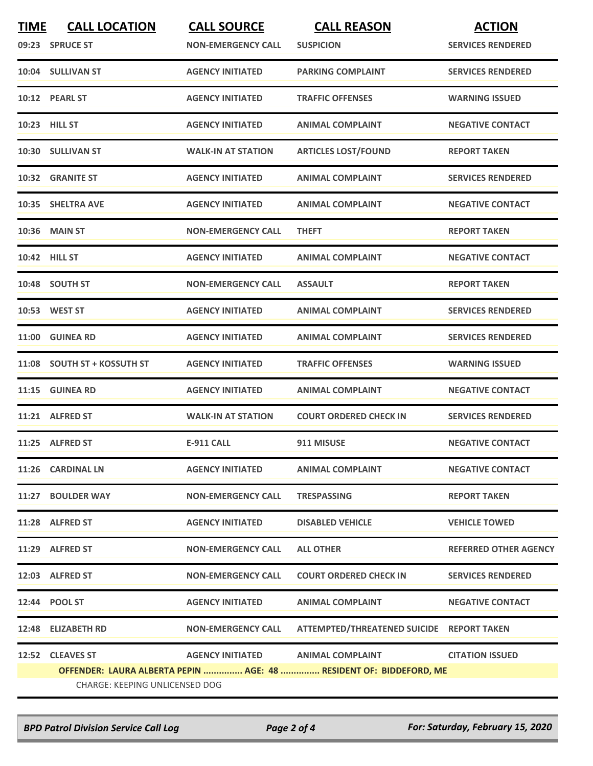| <b>TIME</b> | <b>CALL LOCATION</b><br>09:23 SPRUCE ST                                                                     | <b>CALL SOURCE</b><br><b>NON-EMERGENCY CALL</b> | <b>CALL REASON</b><br><b>SUSPICION</b>    | <b>ACTION</b><br><b>SERVICES RENDERED</b> |  |
|-------------|-------------------------------------------------------------------------------------------------------------|-------------------------------------------------|-------------------------------------------|-------------------------------------------|--|
|             | 10:04 SULLIVAN ST                                                                                           | <b>AGENCY INITIATED</b>                         | <b>PARKING COMPLAINT</b>                  | <b>SERVICES RENDERED</b>                  |  |
|             | 10:12 PEARL ST                                                                                              | <b>AGENCY INITIATED</b>                         | <b>TRAFFIC OFFENSES</b>                   | <b>WARNING ISSUED</b>                     |  |
|             | 10:23 HILL ST                                                                                               | <b>AGENCY INITIATED</b>                         | <b>ANIMAL COMPLAINT</b>                   | <b>NEGATIVE CONTACT</b>                   |  |
|             | 10:30 SULLIVAN ST                                                                                           | <b>WALK-IN AT STATION</b>                       | <b>ARTICLES LOST/FOUND</b>                | <b>REPORT TAKEN</b>                       |  |
|             | 10:32 GRANITE ST                                                                                            | <b>AGENCY INITIATED</b>                         | <b>ANIMAL COMPLAINT</b>                   | <b>SERVICES RENDERED</b>                  |  |
|             | 10:35 SHELTRA AVE                                                                                           | <b>AGENCY INITIATED</b>                         | <b>ANIMAL COMPLAINT</b>                   | <b>NEGATIVE CONTACT</b>                   |  |
|             | <b>10:36 MAIN ST</b>                                                                                        | <b>NON-EMERGENCY CALL</b>                       | <b>THEFT</b>                              | <b>REPORT TAKEN</b>                       |  |
|             | 10:42 HILL ST                                                                                               | <b>AGENCY INITIATED</b>                         | <b>ANIMAL COMPLAINT</b>                   | <b>NEGATIVE CONTACT</b>                   |  |
|             | 10:48 SOUTH ST                                                                                              | <b>NON-EMERGENCY CALL</b>                       | <b>ASSAULT</b>                            | <b>REPORT TAKEN</b>                       |  |
|             | 10:53 WEST ST                                                                                               | <b>AGENCY INITIATED</b>                         | <b>ANIMAL COMPLAINT</b>                   | <b>SERVICES RENDERED</b>                  |  |
|             | 11:00 GUINEA RD                                                                                             | <b>AGENCY INITIATED</b>                         | <b>ANIMAL COMPLAINT</b>                   | <b>SERVICES RENDERED</b>                  |  |
|             | 11:08 SOUTH ST + KOSSUTH ST                                                                                 | <b>AGENCY INITIATED</b>                         | <b>TRAFFIC OFFENSES</b>                   | <b>WARNING ISSUED</b>                     |  |
| 11:15       | <b>GUINEA RD</b>                                                                                            | <b>AGENCY INITIATED</b>                         | <b>ANIMAL COMPLAINT</b>                   | <b>NEGATIVE CONTACT</b>                   |  |
|             | 11:21 ALFRED ST                                                                                             | <b>WALK-IN AT STATION</b>                       | <b>COURT ORDERED CHECK IN</b>             | <b>SERVICES RENDERED</b>                  |  |
|             | 11:25 ALFRED ST                                                                                             | <b>E-911 CALL</b>                               | 911 MISUSE                                | <b>NEGATIVE CONTACT</b>                   |  |
|             | 11:26 CARDINAL LN                                                                                           | <b>AGENCY INITIATED</b>                         | <b>ANIMAL COMPLAINT</b>                   | <b>NEGATIVE CONTACT</b>                   |  |
|             | 11:27 BOULDER WAY                                                                                           | <b>NON-EMERGENCY CALL</b>                       | <b>TRESPASSING</b>                        | <b>REPORT TAKEN</b>                       |  |
|             | 11:28 ALFRED ST                                                                                             | <b>AGENCY INITIATED</b>                         | <b>DISABLED VEHICLE</b>                   | <b>VEHICLE TOWED</b>                      |  |
|             | 11:29 ALFRED ST                                                                                             | <b>NON-EMERGENCY CALL</b>                       | <b>ALL OTHER</b>                          | <b>REFERRED OTHER AGENCY</b>              |  |
|             | 12:03 ALFRED ST                                                                                             | <b>NON-EMERGENCY CALL</b>                       | <b>COURT ORDERED CHECK IN</b>             | <b>SERVICES RENDERED</b>                  |  |
|             | 12:44 POOL ST                                                                                               | <b>AGENCY INITIATED</b>                         | <b>ANIMAL COMPLAINT</b>                   | <b>NEGATIVE CONTACT</b>                   |  |
|             | 12:48 ELIZABETH RD                                                                                          | <b>NON-EMERGENCY CALL</b>                       | ATTEMPTED/THREATENED SUICIDE REPORT TAKEN |                                           |  |
|             | 12:52 CLEAVES ST                                                                                            |                                                 | AGENCY INITIATED ANIMAL COMPLAINT         | <b>CITATION ISSUED</b>                    |  |
|             | OFFENDER: LAURA ALBERTA PEPIN  AGE: 48  RESIDENT OF: BIDDEFORD, ME<br><b>CHARGE: KEEPING UNLICENSED DOG</b> |                                                 |                                           |                                           |  |
|             |                                                                                                             |                                                 |                                           |                                           |  |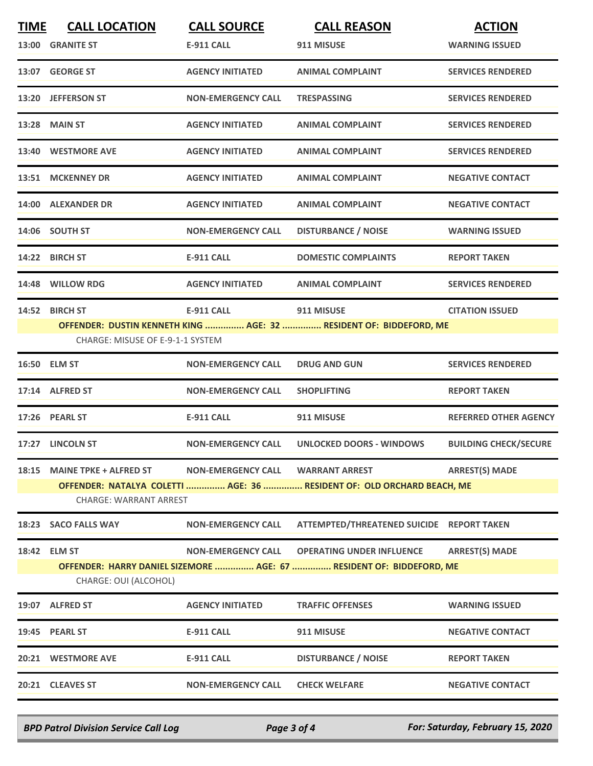| <b>TIME</b> | <b>CALL LOCATION</b><br>13:00 GRANITE ST               | <b>CALL SOURCE</b><br><b>E-911 CALL</b> | <b>CALL REASON</b><br>911 MISUSE                                                                         | <b>ACTION</b><br><b>WARNING ISSUED</b> |
|-------------|--------------------------------------------------------|-----------------------------------------|----------------------------------------------------------------------------------------------------------|----------------------------------------|
|             | 13:07 GEORGE ST                                        | <b>AGENCY INITIATED</b>                 | <b>ANIMAL COMPLAINT</b>                                                                                  | <b>SERVICES RENDERED</b>               |
|             | 13:20 JEFFERSON ST                                     | <b>NON-EMERGENCY CALL</b>               | <b>TRESPASSING</b>                                                                                       | <b>SERVICES RENDERED</b>               |
|             | <b>13:28 MAIN ST</b>                                   | <b>AGENCY INITIATED</b>                 | <b>ANIMAL COMPLAINT</b>                                                                                  | <b>SERVICES RENDERED</b>               |
|             | 13:40 WESTMORE AVE                                     | <b>AGENCY INITIATED</b>                 | <b>ANIMAL COMPLAINT</b>                                                                                  | <b>SERVICES RENDERED</b>               |
|             | 13:51 MCKENNEY DR                                      | <b>AGENCY INITIATED</b>                 | <b>ANIMAL COMPLAINT</b>                                                                                  | <b>NEGATIVE CONTACT</b>                |
|             | 14:00 ALEXANDER DR                                     | <b>AGENCY INITIATED</b>                 | <b>ANIMAL COMPLAINT</b>                                                                                  | <b>NEGATIVE CONTACT</b>                |
|             | 14:06 SOUTH ST                                         | <b>NON-EMERGENCY CALL</b>               | <b>DISTURBANCE / NOISE</b>                                                                               | <b>WARNING ISSUED</b>                  |
|             | 14:22 BIRCH ST                                         | <b>E-911 CALL</b>                       | <b>DOMESTIC COMPLAINTS</b>                                                                               | <b>REPORT TAKEN</b>                    |
|             | 14:48 WILLOW RDG                                       | <b>AGENCY INITIATED</b>                 | <b>ANIMAL COMPLAINT</b>                                                                                  | <b>SERVICES RENDERED</b>               |
|             | 14:52 BIRCH ST<br>CHARGE: MISUSE OF E-9-1-1 SYSTEM     | <b>E-911 CALL</b>                       | <b>911 MISUSE</b><br>OFFENDER: DUSTIN KENNETH KING  AGE: 32  RESIDENT OF: BIDDEFORD, ME                  | <b>CITATION ISSUED</b>                 |
|             | 16:50 ELM ST                                           | <b>NON-EMERGENCY CALL</b>               | <b>DRUG AND GUN</b>                                                                                      | <b>SERVICES RENDERED</b>               |
|             | 17:14 ALFRED ST                                        | <b>NON-EMERGENCY CALL</b>               | <b>SHOPLIFTING</b>                                                                                       | <b>REPORT TAKEN</b>                    |
|             | 17:26 PEARL ST                                         | <b>E-911 CALL</b>                       | 911 MISUSE                                                                                               | <b>REFERRED OTHER AGENCY</b>           |
|             | 17:27 LINCOLN ST                                       | <b>NON-EMERGENCY CALL</b>               | <b>UNLOCKED DOORS - WINDOWS</b>                                                                          | <b>BUILDING CHECK/SECURE</b>           |
|             | 18:15 MAINE TPKE + ALFRED ST<br>CHARGE: WARRANT ARREST | NON-EMERGENCY CALL WARRANT ARREST       | OFFENDER: NATALYA COLETTI  AGE: 36  RESIDENT OF: OLD ORCHARD BEACH, ME                                   | <b>ARREST(S) MADE</b>                  |
|             | 18:23 SACO FALLS WAY                                   | <b>NON-EMERGENCY CALL</b>               | ATTEMPTED/THREATENED SUICIDE REPORT TAKEN                                                                |                                        |
|             | 18:42 ELM ST<br>CHARGE: OUI (ALCOHOL)                  | <b>NON-EMERGENCY CALL</b>               | <b>OPERATING UNDER INFLUENCE</b><br>OFFENDER: HARRY DANIEL SIZEMORE  AGE: 67  RESIDENT OF: BIDDEFORD, ME | <b>ARREST(S) MADE</b>                  |
|             | 19:07 ALFRED ST                                        | <b>AGENCY INITIATED</b>                 | <b>TRAFFIC OFFENSES</b>                                                                                  | <b>WARNING ISSUED</b>                  |
|             | 19:45 PEARL ST                                         | <b>E-911 CALL</b>                       | 911 MISUSE                                                                                               | <b>NEGATIVE CONTACT</b>                |
|             | 20:21 WESTMORE AVE                                     | <b>E-911 CALL</b>                       | <b>DISTURBANCE / NOISE</b>                                                                               | <b>REPORT TAKEN</b>                    |
|             | 20:21 CLEAVES ST                                       | <b>NON-EMERGENCY CALL</b>               | <b>CHECK WELFARE</b>                                                                                     | <b>NEGATIVE CONTACT</b>                |

*BPD Patrol Division Service Call Log Page 3 of 4 For: Saturday, February 15, 2020*